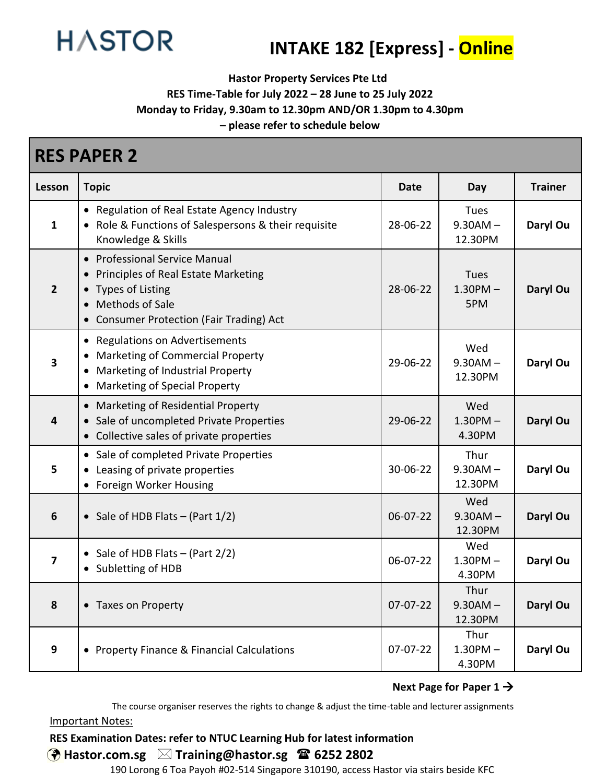

# **INTAKE 182 [Express] - Online**

**Hastor Property Services Pte Ltd**

**RES Time-Table for July 2022 – 28 June to 25 July 2022**

**Monday to Friday, 9.30am to 12.30pm AND/OR 1.30pm to 4.30pm**

**– please refer to schedule below**

| <b>RES PAPER 2</b>      |                                                                                                                                                                          |            |                                 |                |  |
|-------------------------|--------------------------------------------------------------------------------------------------------------------------------------------------------------------------|------------|---------------------------------|----------------|--|
| Lesson                  | <b>Topic</b>                                                                                                                                                             | Date       | Day                             | <b>Trainer</b> |  |
| $\mathbf{1}$            | Regulation of Real Estate Agency Industry<br>Role & Functions of Salespersons & their requisite<br>Knowledge & Skills                                                    | 28-06-22   | Tues<br>$9.30AM -$<br>12.30PM   | Daryl Ou       |  |
| $\overline{2}$          | <b>Professional Service Manual</b><br>Principles of Real Estate Marketing<br><b>Types of Listing</b><br>Methods of Sale<br><b>Consumer Protection (Fair Trading) Act</b> | 28-06-22   | Tues<br>$1.30$ PM $-$<br>5PM    | Daryl Ou       |  |
| $\overline{\mathbf{3}}$ | <b>Regulations on Advertisements</b><br>$\bullet$<br><b>Marketing of Commercial Property</b><br>Marketing of Industrial Property<br>Marketing of Special Property        | 29-06-22   | Wed<br>$9.30AM -$<br>12.30PM    | Daryl Ou       |  |
| $\overline{\mathbf{4}}$ | Marketing of Residential Property<br>Sale of uncompleted Private Properties<br>Collective sales of private properties                                                    | 29-06-22   | Wed<br>$1.30$ PM $-$<br>4.30PM  | Daryl Ou       |  |
| 5                       | • Sale of completed Private Properties<br>Leasing of private properties<br>Foreign Worker Housing                                                                        | 30-06-22   | Thur<br>$9.30AM -$<br>12.30PM   | Daryl Ou       |  |
| $6\phantom{1}6$         | • Sale of HDB Flats $-$ (Part $1/2$ )                                                                                                                                    | 06-07-22   | Wed<br>$9.30AM -$<br>12.30PM    | Daryl Ou       |  |
| $\overline{\mathbf{z}}$ | Sale of HDB Flats $-$ (Part 2/2)<br>Subletting of HDB                                                                                                                    | 06-07-22   | Wed<br>$1.30$ PM $-$<br>4.30PM  | Daryl Ou       |  |
| 8                       | • Taxes on Property                                                                                                                                                      | $07-07-22$ | Thur<br>$9.30AM -$<br>12.30PM   | Daryl Ou       |  |
| $\boldsymbol{9}$        | • Property Finance & Financial Calculations                                                                                                                              | $07-07-22$ | Thur<br>$1.30$ PM $-$<br>4.30PM | Daryl Ou       |  |

#### **Next Page for Paper 1** →

The course organiser reserves the rights to change & adjust the time-table and lecturer assignments Important Notes:

#### **RES Examination Dates: refer to NTUC Learning Hub for latest information**

## **Hastor.com.sg Training@hastor.sg 6252 2802**

190 Lorong 6 Toa Payoh #02-514 Singapore 310190, access Hastor via stairs beside KFC